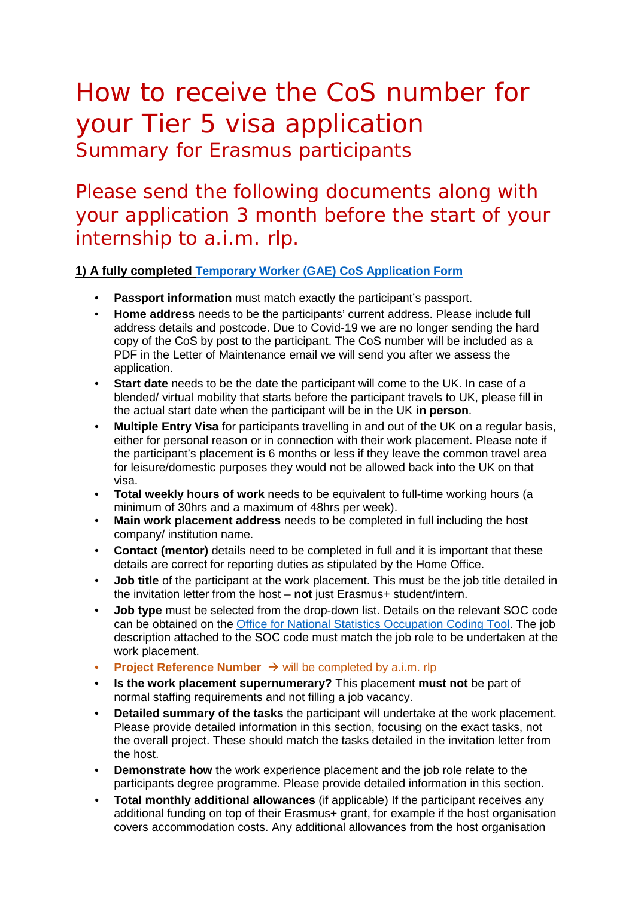# How to receive the CoS number for your Tier 5 visa application Summary for Erasmus participants

Please send the following documents along with your application 3 month before the start of your internship to a.i.m. rlp.

**1) A fully completed [Temporary Worker \(GAE\) CoS Application Form](https://www.erasmusplus.org.uk/file/2469/download)** 

- **Passport information** must match exactly the participant's passport.
- **Home address** needs to be the participants' current address. Please include full address details and postcode. Due to Covid-19 we are no longer sending the hard copy of the CoS by post to the participant. The CoS number will be included as a PDF in the Letter of Maintenance email we will send you after we assess the application.
- **Start date** needs to be the date the participant will come to the UK. In case of a blended/ virtual mobility that starts before the participant travels to UK, please fill in the actual start date when the participant will be in the UK **in person**.
- **Multiple Entry Visa** for participants travelling in and out of the UK on a regular basis, either for personal reason or in connection with their work placement. Please note if the participant's placement is 6 months or less if they leave the common travel area for leisure/domestic purposes they would not be allowed back into the UK on that visa.
- **Total weekly hours of work** needs to be equivalent to full-time working hours (a minimum of 30hrs and a maximum of 48hrs per week).
- **Main work placement address** needs to be completed in full including the host company/ institution name.
- **Contact (mentor)** details need to be completed in full and it is important that these details are correct for reporting duties as stipulated by the Home Office.
- **Job title** of the participant at the work placement. This must be the job title detailed in the invitation letter from the host – **not** just Erasmus+ student/intern.
- **Job type** must be selected from the drop-down list. Details on the relevant SOC code can be obtained on the [Office for National Statistics Occupation Coding Tool.](https://onsdigital.github.io/dp-classification-tools/standard-occupational-classification/ONS_SOC_occupation_coding_tool.html) The job description attached to the SOC code must match the job role to be undertaken at the work placement.
- **Project Reference Number**  $\rightarrow$  will be completed by a.i.m. rlp
- **Is the work placement supernumerary?** This placement **must not** be part of normal staffing requirements and not filling a job vacancy.
- **Detailed summary of the tasks** the participant will undertake at the work placement. Please provide detailed information in this section, focusing on the exact tasks, not the overall project. These should match the tasks detailed in the invitation letter from the host.
- **Demonstrate how** the work experience placement and the job role relate to the participants degree programme. Please provide detailed information in this section.
- **Total monthly additional allowances** (if applicable) If the participant receives any additional funding on top of their Erasmus+ grant, for example if the host organisation covers accommodation costs. Any additional allowances from the host organisation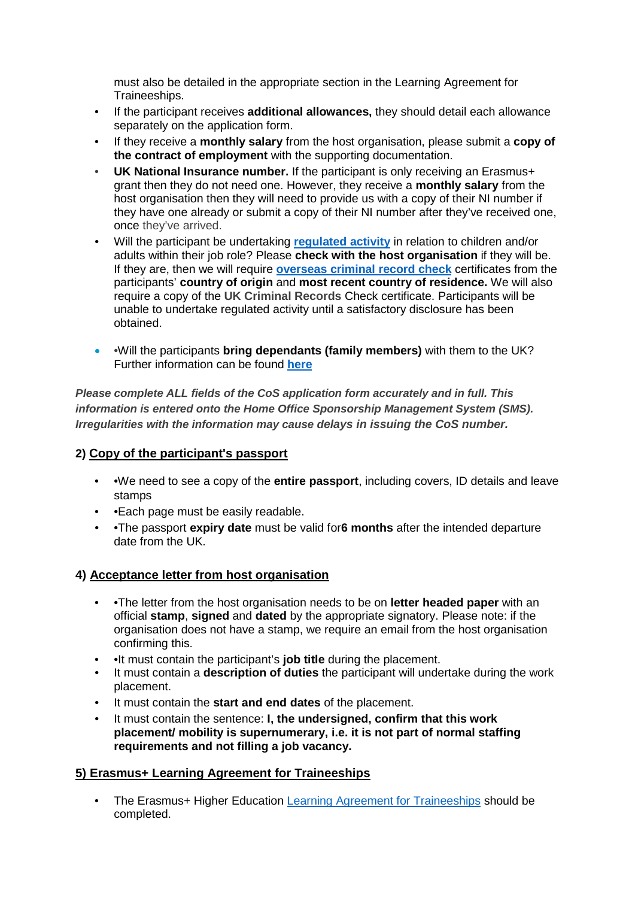must also be detailed in the appropriate section in the Learning Agreement for Traineeships.

- If the participant receives **additional allowances,** they should detail each allowance separately on the application form.
- If they receive a **monthly salary** from the host organisation, please submit a **copy of the contract of employment** with the supporting documentation.
- **UK National Insurance number.** If the participant is only receiving an Erasmus+ grant then they do not need one. However, they receive a **monthly salary** from the host organisation then they will need to provide us with a copy of their NI number if they have one already or submit a copy of their NI number after they've received one, once they've arrived.
- Will the participant be undertaking **[regulated activity](https://www.gov.uk/government/publications/dbs-guidance-leaflets)** in relation to children and/or adults within their job role? Please **check with the host organisation** if they will be. If they are, then we will require **[overseas criminal record check](https://www.gov.uk/government/publications/criminal-records-checks-for-overseas-applicants)** certificates from the participants' **country of origin** and **most recent country of residence.** We will also require a copy of the **UK Criminal Records** Check certificate. Participants will be unable to undertake regulated activity until a satisfactory disclosure has been obtained.
- •Will the participants **bring dependants (family members)** with them to the UK? Further information can be found **[here](https://www.gov.uk/tier-5-government-authorised-exchange/family-members)**

*Please complete ALL fields of the CoS application form accurately and in full. This information is entered onto the Home Office Sponsorship Management System (SMS). Irregularities with the information may cause delays in issuing the CoS number.*

#### **2) Copy of the participant's passport**

- •We need to see a copy of the **entire passport**, including covers, ID details and leave stamps
- • **Each page must be easily readable.**
- •The passport **expiry date** must be valid for**6 months** after the intended departure date from the UK.

#### **4) Acceptance letter from host organisation**

- •The letter from the host organisation needs to be on **letter headed paper** with an official **stamp**, **signed** and **dated** by the appropriate signatory. Please note: if the organisation does not have a stamp, we require an email from the host organisation confirming this.
- •It must contain the participant's **job title** during the placement.
- It must contain a **description of duties** the participant will undertake during the work placement.
- It must contain the **start and end dates** of the placement.
- It must contain the sentence: **I, the undersigned, confirm that this work placement/ mobility is supernumerary, i.e. it is not part of normal staffing requirements and not filling a job vacancy.**

#### **5) Erasmus+ Learning Agreement for Traineeships**

• The Erasmus+ Higher Education [Learning Agreement for Traineeships](https://erasmuspraktika.de/wordpress/wp-content/uploads/2021/12/Learning_Agreement_BEFORE_THE_MOBILITY_2020.pdf) should be completed.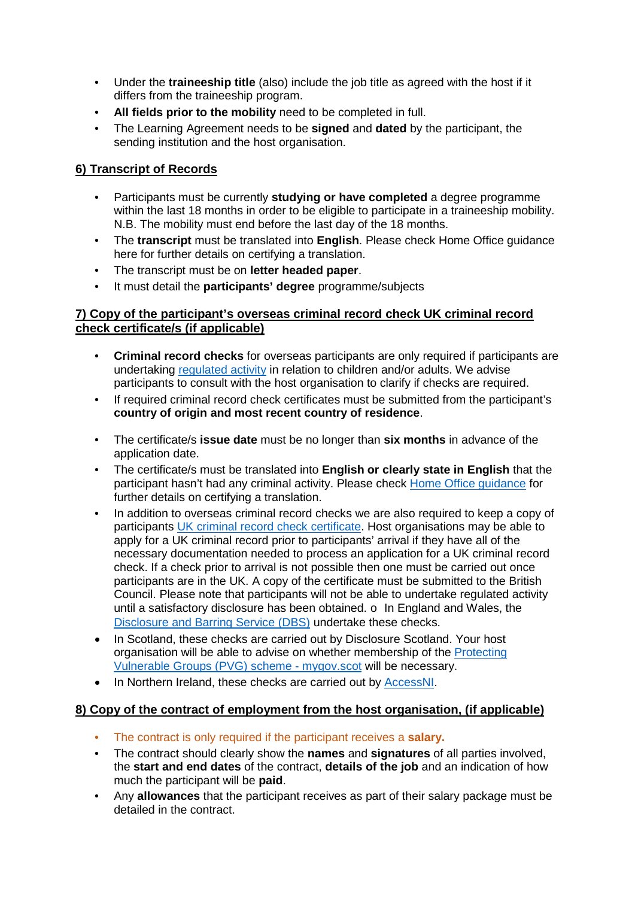- Under the **traineeship title** (also) include the job title as agreed with the host if it differs from the traineeship program.
- **All fields prior to the mobility** need to be completed in full.
- The Learning Agreement needs to be **signed** and **dated** by the participant, the sending institution and the host organisation.

#### **6) Transcript of Records**

- Participants must be currently **studying or have completed** a degree programme within the last 18 months in order to be eligible to participate in a traineeship mobility. N.B. The mobility must end before the last day of the 18 months.
- The **transcript** must be translated into **English**. Please check Home Office guidance here for further details on certifying a translation.
- The transcript must be on **letter headed paper**.
- It must detail the **participants' degree** programme/subjects

#### **7) Copy of the participant's overseas criminal record check UK criminal record check certificate/s (if applicable)**

- **Criminal record checks** for overseas participants are only required if participants are undertaking [regulated activity](https://www.gov.uk/government/publications/dbs-guidance-leaflets) in relation to children and/or adults. We advise participants to consult with the host organisation to clarify if checks are required.
- If required criminal record check certificates must be submitted from the participant's **country of origin and most recent country of residence**.
- The certificate/s **issue date** must be no longer than **six months** in advance of the application date.
- The certificate/s must be translated into **English or clearly state in English** that the participant hasn't had any criminal activity. Please check [Home Office guidance](https://www.gov.uk/certifying-a-document) for further details on certifying a translation.
- In addition to overseas criminal record checks we are also required to keep a copy of participants [UK criminal record check certificate.](https://www.gov.uk/dbs-check-applicant-criminal-record) Host organisations may be able to apply for a UK criminal record prior to participants' arrival if they have all of the necessary documentation needed to process an application for a UK criminal record check. If a check prior to arrival is not possible then one must be carried out once participants are in the UK. A copy of the certificate must be submitted to the British Council. Please note that participants will not be able to undertake regulated activity until a satisfactory disclosure has been obtained. o In England and Wales, the [Disclosure and Barring Service \(DBS\)](https://www.gov.uk/dbs-check-applicant-criminal-record) undertake these checks.
- In Scotland, these checks are carried out by Disclosure Scotland. Your host organisation will be able to advise on whether membership of the [Protecting](https://www.mygov.scot/pvg-scheme)  [Vulnerable Groups \(PVG\) scheme -](https://www.mygov.scot/pvg-scheme) mygov.scot will be necessary.
- In Northern Ireland, these checks are carried out by [AccessNI.](https://www.nidirect.gov.uk/campaigns/accessni-criminal-record-checks)

#### **8) Copy of the contract of employment from the host organisation, (if applicable)**

- The contract is only required if the participant receives a **salary.**
- The contract should clearly show the **names** and **signatures** of all parties involved, the **start and end dates** of the contract, **details of the job** and an indication of how much the participant will be **paid**.
- Any **allowances** that the participant receives as part of their salary package must be detailed in the contract.